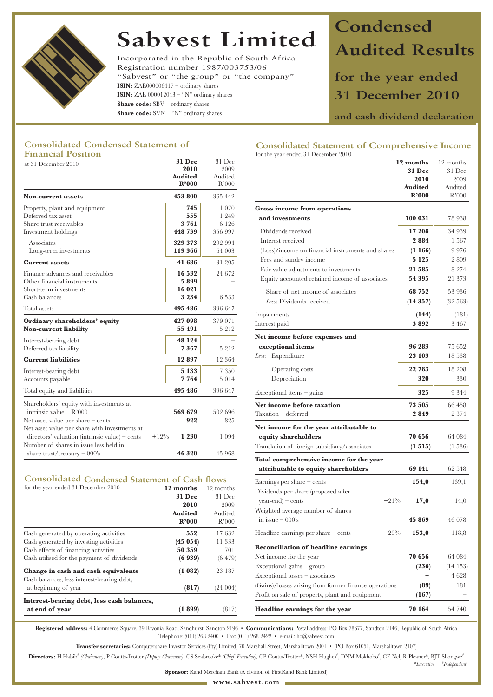

# **Sabvest Limited**

Incorporated in the Republic of South Africa Registration number 1987/003753/06 "Sabvest" or "the group" or "the company" **ISIN:** ZAE000006417 – ordinary shares **ISIN:** ZAE 000012043 – "N" ordinary shares **Share code:** SBV – ordinary shares **Share code:** SVN – "N" ordinary shares

# **Condensed Audited Results**

**for the year ended 31 December 2010**

**and cash dividend declaration**

## **Consolidated Condensed Statement of Financial Position**

| at 31 December 2010                                                                                                                                | <b>31 Dec</b><br>2010<br><b>Audited</b><br>R'000 | 31 Dec<br>2009<br>Audited<br>R'000 |                                                                                                                | 12 months<br><b>31 Dec</b><br>2010<br><b>Audited</b> | 12 months<br>31 Dec<br>2009<br>Auditec |
|----------------------------------------------------------------------------------------------------------------------------------------------------|--------------------------------------------------|------------------------------------|----------------------------------------------------------------------------------------------------------------|------------------------------------------------------|----------------------------------------|
| <b>Non-current assets</b>                                                                                                                          | 453 800                                          | 365 442                            |                                                                                                                | R'000                                                | R'000                                  |
| Property, plant and equipment<br>Deferred tax asset<br>Share trust receivables                                                                     | 745<br>555<br>3761                               | 1 0 7 0<br>1 2 4 9<br>6 1 2 6      | Gross income from operations<br>and investments                                                                | 100 031                                              | 78 938                                 |
| Investment holdings                                                                                                                                | 448 739                                          | 356 997                            | Dividends received                                                                                             | 17 208                                               | 34 939                                 |
| Associates<br>Long-term investments                                                                                                                | 329 373<br>119 366                               | 292 994<br>64 003                  | Interest received<br>(Loss)/income on financial instruments and shares                                         | 2884<br>(1166)                                       | 1 5 6 7<br>9976                        |
| <b>Current assets</b>                                                                                                                              | 41 686                                           | 31 205                             | Fees and sundry income<br>Fair value adjustments to investments                                                | 5 1 2 5<br>21 5 8 5                                  | 2 809<br>8 2 7 4                       |
| Finance advances and receivables<br>Other financial instruments                                                                                    | 16 532<br>5899                                   | 24 672                             | Equity accounted retained income of associates                                                                 | 54 395                                               | 21 373                                 |
| Short-term investments<br>Cash balances                                                                                                            | 16 021<br>3 2 3 4                                | 6 5 3 3                            | Share of net income of associates<br>Less: Dividends received                                                  | 68 752<br>(14357)                                    | 53 936<br>(32563)                      |
| Total assets                                                                                                                                       | 495 486                                          | 396 647                            | Impairments                                                                                                    | (144)                                                | (181)                                  |
| Ordinary shareholders' equity<br><b>Non-current liability</b>                                                                                      | 427 098<br>55 491                                | 379 071<br>5 2 1 2                 | Interest paid                                                                                                  | 3892                                                 | 3 4 6 7                                |
| Interest-bearing debt<br>Deferred tax liability                                                                                                    | 48 124<br>7367                                   | 5 2 1 2                            | Net income before expenses and<br>exceptional items                                                            | 96 283                                               | 75 652                                 |
| <b>Current liabilities</b>                                                                                                                         | 12897                                            | 12 364                             | Less: Expenditure                                                                                              | 23 103                                               | 18 538                                 |
| Interest-bearing debt<br>Accounts payable                                                                                                          | 5 1 3 3<br>7764                                  | 7 3 5 0<br>5 0 1 4                 | Operating costs<br>Depreciation                                                                                | 22 783<br>320                                        | 18 208<br>330                          |
| Total equity and liabilities                                                                                                                       | 495 486                                          | 396 647                            | $Exceptional items - gains$                                                                                    | 325                                                  | 9 3 4 4                                |
| Shareholders' equity with investments at<br>intrinsic value $- R'000$<br>Net asset value per share - cents                                         | 569 679<br>922                                   | 502 696<br>825                     | Net income before taxation<br>Taxation - deferred                                                              | 73 505<br>2849                                       | 66 458<br>2 3 7 4                      |
| Net asset value per share with investments at<br>$\alpha$ directors' valuation (intrinsic value) – cents<br>Number of shares in issue less held in | 1 2 3 0<br>$+12%$                                | 1 0 9 4                            | Net income for the year attributable to<br>equity shareholders<br>Translation of foreign subsidiary/associates | 70 656<br>(1515)                                     | 64 084<br>(1.536)                      |
| share trust/treasury $-000$ 's                                                                                                                     | 46 320                                           | 45 968                             |                                                                                                                |                                                      |                                        |

# **Consolidated Condensed Statement of Cash flows**

| 12 months      | 12 months |
|----------------|-----------|
| <b>31 Dec</b>  | 31 Dec    |
| 2010           | 2009      |
| <b>Audited</b> | Audited   |
| R'000          | R'000     |
| 552            | 17632     |
| (45054)        | 11 333    |
| 50 359         | 701       |
| (6939)         | (6479)    |
| (1 082)        | 23 187    |
| (817)          | (24 004)  |
|                |           |
| (1899)         | (817)     |
|                |           |

# **Consolidated Statement of Comprehensive Income**

| for the year ended 31 December 2010                   |                         |                  |
|-------------------------------------------------------|-------------------------|------------------|
|                                                       | 12 months               | 12 months        |
|                                                       | <b>31 Dec</b>           | 31 Dec           |
|                                                       | 2010                    | 2009             |
|                                                       | <b>Audited</b><br>R'000 | Audited<br>R'000 |
|                                                       |                         |                  |
| Gross income from operations                          |                         |                  |
| and investments                                       | 100 031                 | 78 938           |
| Dividends received                                    | 17 208                  | 34 939           |
| Interest received                                     | 2884                    | 1 567            |
| (Loss)/income on financial instruments and shares     | (1166)                  | 9976             |
| Fees and sundry income                                | 5 1 2 5                 | 2809             |
| Fair value adjustments to investments                 | 21 5 8 5                | 8 2 7 4          |
| Equity accounted retained income of associates        | 54 395                  | 21 373           |
| Share of net income of associates                     | 68 752                  | 53 936           |
| Less: Dividends received                              | (14357)                 | (32563)          |
| Impairments                                           | (144)                   | (181)            |
| Interest paid                                         | 3892                    | 3 4 6 7          |
| Net income before expenses and                        |                         |                  |
| exceptional items                                     | 96 283                  | 75 652           |
| Less:<br>Expenditure                                  | 23 103                  | 18 538           |
| Operating costs                                       | 22 783                  | 18 208           |
|                                                       | 320                     |                  |
| Depreciation                                          |                         | 330              |
| Exceptional items - gains                             | 325                     | 9 344            |
| Net income before taxation                            | 73 505                  | 66 458           |
| Taxation - deferred                                   | 2849                    | 2 374            |
| Net income for the year attributable to               |                         |                  |
| equity shareholders                                   | 70 656                  | 64 084           |
| Translation of foreign subsidiary/associates          | (1515)                  | $(1\;536)$       |
| Total comprehensive income for the year               |                         |                  |
| attributable to equity shareholders                   | 69 141                  | 62 548           |
| Earnings per share $-$ cents                          | 154,0                   | 139,1            |
| Dividends per share (proposed after                   |                         |                  |
| $+21\%$<br>$\gamma$ year-end) – cents                 | 17,0                    | 14,0             |
| Weighted average number of shares                     |                         |                  |
| in issue $-000$ 's                                    | 45 869                  | 46 078           |
| $+29%$<br>Headline earnings per share $-$ cents       | 153,0                   | 118,8            |
| <b>Reconciliation of headline earnings</b>            |                         |                  |
| Net income for the year                               | 70 656                  | 64 084           |
| Exceptional gains $-$ group                           | (236)                   | $(14\;153)$      |
| Exceptional losses – associates                       |                         | 4 628            |
| (Gains)/losses arising from former finance operations | (89)                    | 181              |
| Profit on sale of property, plant and equipment       | (167)                   |                  |
| Headline earnings for the year                        | 70 164                  | 54 740           |
|                                                       |                         |                  |

*\*Executive* **#** *Independent*

**Registered address:** 4 Commerce Square, 39 Rivonia Road, Sandhurst, Sandton 2196 • **Communications:** Postal address: PO Box 78677, Sandton 2146, Republic of South Africa Telephone: (011) 268 2400 • Fax: (011) 268 2422 • e-mail: ho@sabvest.com

**Transfer secretaries:** Computershare Investor Services (Pty) Limited, 70 Marshall Street, Marshalltown 2001 • (PO Box 61051, Marshalltown 2107)

Directors: H Habib<sup>\*</sup> (Chairman), P Coutts-Trotter (Deputy Chairman), CS Seabrooke\* (Chief Executive), CP Coutts-Trotter\*, NSH Hughes<sup>\*</sup>, DNM Mokhobo<sup>\*</sup>, GE Nel, R Pleaner\*, BJT Shongwe\*

**Sponsor:** Rand Merchant Bank (A division of FirstRand Bank Limited)

**www.sabvest.com**